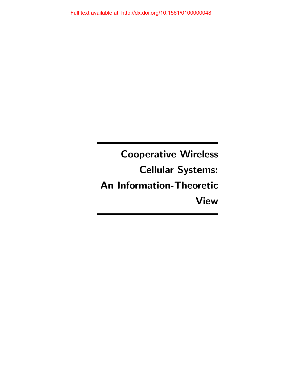Cooperative Wireless Cellular Systems: An Information-Theoretic View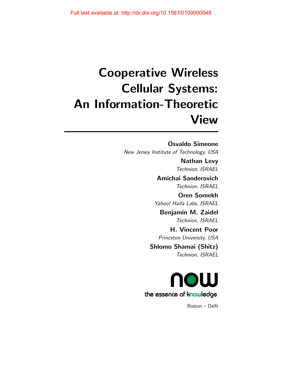# Cooperative Wireless Cellular Systems: An Information-Theoretic View

Osvaldo Simeone New Jersey Institute of Technology, USA

> Nathan Levy Technion, ISRAEL

Amichai Sanderovich Technion, ISRAEL

Oren Somekh Yahoo! Haifa Labs, ISRAEL

Benjamin M. Zaidel Technion, ISRAEL

H. Vincent Poor Princeton University, USA Shlomo Shamai (Shitz)

Technion, ISRAEL



Boston – Delft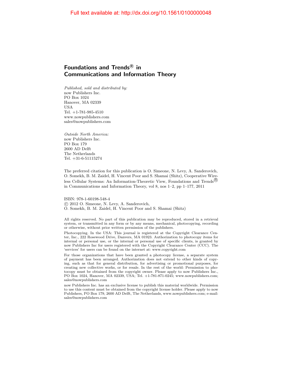### Foundations and Trends<sup>®</sup> in Communications and Information Theory

Published, sold and distributed by: now Publishers Inc. PO Box 1024 Hanover, MA 02339 USA Tel. +1-781-985-4510 www.nowpublishers.com sales@nowpublishers.com

Outside North America: now Publishers Inc. PO Box 179 2600 AD Delft The Netherlands Tel. +31-6-51115274

The preferred citation for this publication is O. Simeone, N. Levy, A. Sanderovich, O. Somekh, B. M. Zaidel, H. Vincent Poor and S. Shamai (Shitz), Cooperative Wireless Cellular Systems: An Information-Theoretic View, Foundations and Trends<sup>®</sup> in Communications and Information Theory, vol 8, nos 1–2, pp 1–177, 2011

ISBN: 978-1-60198-548-4 c 2012 O. Simeone, N. Levy, A. Sanderovich, O. Somekh, B. M. Zaidel, H. Vincent Poor and S. Shamai (Shitz)

All rights reserved. No part of this publication may be reproduced, stored in a retrieval system, or transmitted in any form or by any means, mechanical, photocopying, recording or otherwise, without prior written permission of the publishers.

Photocopying. In the USA: This journal is registered at the Copyright Clearance Center, Inc., 222 Rosewood Drive, Danvers, MA 01923. Authorization to photocopy items for internal or personal use, or the internal or personal use of specific clients, is granted by now Publishers Inc for users registered with the Copyright Clearance Center (CCC). The 'services' for users can be found on the internet at: www.copyright.com

For those organizations that have been granted a photocopy license, a separate system of payment has been arranged. Authorization does not extend to other kinds of copying, such as that for general distribution, for advertising or promotional purposes, for creating new collective works, or for resale. In the rest of the world: Permission to photocopy must be obtained from the copyright owner. Please apply to now Publishers Inc., PO Box 1024, Hanover, MA 02339, USA; Tel. +1-781-871-0245; www.nowpublishers.com; sales@nowpublishers.com

now Publishers Inc. has an exclusive license to publish this material worldwide. Permission to use this content must be obtained from the copyright license holder. Please apply to now Publishers, PO Box 179, 2600 AD Delft, The Netherlands, www.nowpublishers.com; e-mail: sales@nowpublishers.com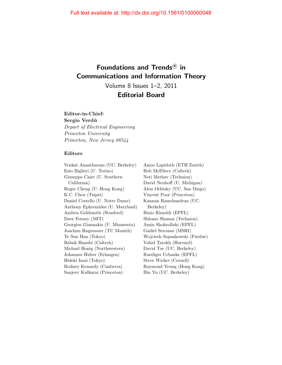## Foundations and Trends<sup>®</sup> in Communications and Information Theory

Volume 8 Issues 1–2, 2011 Editorial Board

#### Editor-in-Chief:

Sergio Verdú Depart of Electrical Engineering Princeton University Princeton, New Jersey 08544

#### Editors

Venkat Anantharam (UC. Berkeley) Ezio Biglieri (U. Torino) Giuseppe Caire (U. Southern California) Roger Cheng (U. Hong Kong) K.C. Chen (Taipei) Daniel Costello (U. Notre Dame) Anthony Ephremides (U. Maryland) Andrea Goldsmith (Stanford) Dave Forney (MIT) Georgios Giannakis (U. Minnesota) Joachim Hagenauer (TU Munich) Te Sun Han (Tokyo) Babak Hassibi (Caltech) Michael Honig (Northwestern) Johannes Huber (Erlangen) Hideki Imai (Tokyo) Rodney Kennedy (Canberra) Sanjeev Kulkarni (Princeton)

Amos Lapidoth (ETH Zurich) Bob McEliece (Caltech) Neri Merhav (Technion) David Neuhoff (U. Michigan) Alon Orlitsky (UC. San Diego) Vincent Poor (Princeton) Kannan Ramchandran (UC. Berkeley) Bixio Rimoldi (EPFL) Shlomo Shamai (Technion) Amin Shokrollahi (EPFL) Gadiel Seroussi (MSRI) Wojciech Szpankowski (Purdue) Vahid Tarokh (Harvard) David Tse (UC. Berkeley) Ruediger Urbanke (EPFL) Steve Wicker (Cornell) Raymond Yeung (Hong Kong) Bin Yu (UC. Berkeley)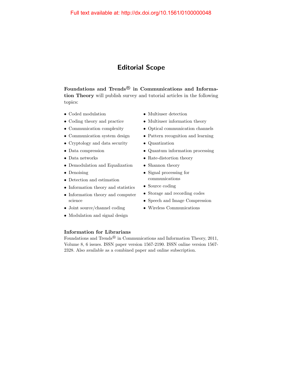## Editorial Scope

Foundations and Trends $^{\circledR}$  in Communications and Information Theory will publish survey and tutorial articles in the following topics:

- Coded modulation
- Coding theory and practice
- Communication complexity
- Communication system design
- Cryptology and data security
- Data compression
- Data networks
- Demodulation and Equalization
- Denoising
- Detection and estimation
- Information theory and statistics
- Information theory and computer science
- Joint source/channel coding
- Modulation and signal design

#### Information for Librarians

- Multiuser detection
- Multiuser information theory
- Optical communication channels
- Pattern recognition and learning
- Quantization
- Quantum information processing
- Rate-distortion theory
- Shannon theory
- Signal processing for communications
- Source coding
- Storage and recording codes
- Speech and Image Compression
- Wireless Communications
- Foundations and Trends<sup>®</sup> in Communications and Information Theory, 2011, Volume 8, 6 issues. ISSN paper version 1567-2190. ISSN online version 1567- 2328. Also available as a combined paper and online subscription.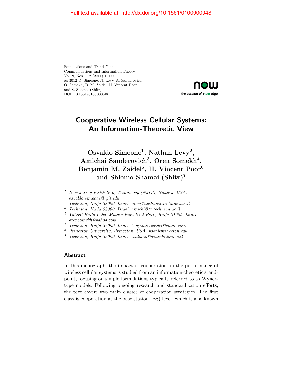Foundations and Trends<br> $^{\circledR}$  in Communications and Information Theory Vol. 8, Nos. 1–2 (2011) 1–177 c 2012 O. Simeone, N. Levy, A. Sanderovich, O. Somekh, B. M. Zaidel, H. Vincent Poor and S. Shamai (Shitz) DOI: 10.1561/0100000048



## Cooperative Wireless Cellular Systems: An Information-Theoretic View

Osvaldo Simeone<sup>1</sup>, Nathan Levy<sup>2</sup>, Amichai Sanderovich<sup>3</sup>, Oren Somekh<sup>4</sup>, Benjamin M. Zaidel<sup>5</sup>, H. Vincent Poor<sup>6</sup> and Shlomo Shamai (Shitz)<sup>7</sup>

- <sup>1</sup> New Jersey Institute of Technology (NJIT), Newark, USA, osvaldo.simeone@njit.edu
- <sup>2</sup> Technion, Haifa 32000, Israel, nlevy@techunix.technion.ac.il
- <sup>3</sup> Technion, Haifa 32000, Israel, amichi@tx.technion.ac.il
- <sup>4</sup> Yahoo! Haifa Labs, Matam Industrial Park, Haifa 31905, Israel, orensomekh@yahoo.com
- <sup>5</sup> Technion, Haifa 32000, Israel, benjamin.zaidel@gmail.com
- $6$  Princeton University, Princeton, USA, poor@princeton.edu
- $\alpha$  Technion, Haifa 32000, Israel, sshlomo@ee.technion.ac.il

#### Abstract

In this monograph, the impact of cooperation on the performance of wireless cellular systems is studied from an information-theoretic standpoint, focusing on simple formulations typically referred to as Wynertype models. Following ongoing research and standardization efforts, the text covers two main classes of cooperation strategies. The first class is cooperation at the base station (BS) level, which is also known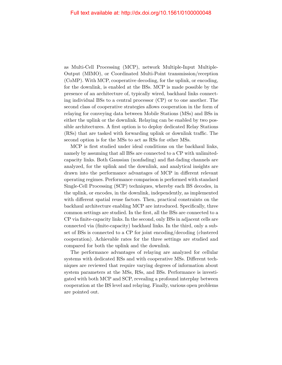as Multi-Cell Processing (MCP), network Multiple-Input Multiple-Output (MIMO), or Coordinated Multi-Point transmission/reception (CoMP). With MCP, cooperative decoding, for the uplink, or encoding, for the downlink, is enabled at the BSs. MCP is made possible by the presence of an architecture of, typically wired, backhaul links connecting individual BSs to a central processor (CP) or to one another. The second class of cooperative strategies allows cooperation in the form of relaying for conveying data between Mobile Stations (MSs) and BSs in either the uplink or the downlink. Relaying can be enabled by two possible architectures. A first option is to deploy dedicated Relay Stations (RSs) that are tasked with forwarding uplink or downlink traffic. The second option is for the MSs to act as RSs for other MSs.

MCP is first studied under ideal conditions on the backhaul links, namely by assuming that all BSs are connected to a CP with unlimitedcapacity links. Both Gaussian (nonfading) and flat-fading channels are analyzed, for the uplink and the downlink, and analytical insights are drawn into the performance advantages of MCP in different relevant operating regimes. Performance comparison is performed with standard Single-Cell Processing (SCP) techniques, whereby each BS decodes, in the uplink, or encodes, in the downlink, independently, as implemented with different spatial reuse factors. Then, practical constraints on the backhaul architecture enabling MCP are introduced. Specifically, three common settings are studied. In the first, all the BSs are connected to a CP via finite-capacity links. In the second, only BSs in adjacent cells are connected via (finite-capacity) backhaul links. In the third, only a subset of BSs is connected to a CP for joint encoding/decoding (clustered cooperation). Achievable rates for the three settings are studied and compared for both the uplink and the downlink.

The performance advantages of relaying are analyzed for cellular systems with dedicated RSs and with cooperative MSs. Different techniques are reviewed that require varying degrees of information about system parameters at the MSs, RSs, and BSs. Performance is investigated with both MCP and SCP, revealing a profound interplay between cooperation at the BS level and relaying. Finally, various open problems are pointed out.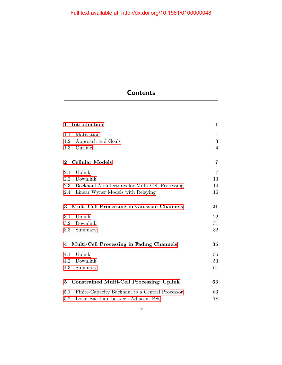## **Contents**

| Introduction<br>$\mathbf{1}$                           | $\mathbf{1}$   |
|--------------------------------------------------------|----------------|
| Motivation<br>1.1                                      | $\mathbf{1}$   |
| Approach and Goals<br>$1.2\,$                          | 3              |
| Outline<br>$1.3\,$                                     | $\overline{4}$ |
| <b>Cellular Models</b><br>$\bf{2}$                     | 7              |
| Uplink<br>$2.1\,$                                      | 7              |
| Downlink<br>$2.2\degree$                               | 13             |
| 2.3 Backhaul Architectures for Multi-Cell Processing   | 14             |
| Linear Wyner Models with Relaying<br>2.4               | 16             |
| Multi-Cell Processing in Gaussian Channels<br>3        | 21             |
| Uplink<br>3.1                                          | 22             |
| Downlink<br>3.2                                        | 31             |
| 3.3 Summary                                            | 32             |
| Multi-Cell Processing in Fading Channels<br>4          | 35             |
| Uplink<br>4.1                                          | 35             |
| 4.2 Downlink                                           | 53             |
| 4.3<br>Summary                                         | 61             |
| <b>Constrained Multi-Cell Processing: Uplink</b><br>5  | 63             |
| Finite-Capacity Backhaul to a Central Processor<br>5.1 | 63             |
| Local Backhaul between Adjacent BSs<br>$5.2\,$         | 78             |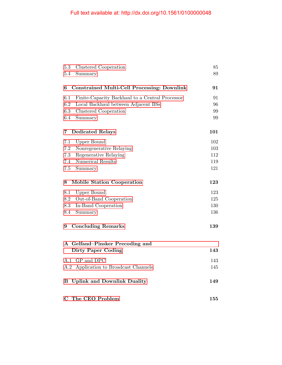| Clustered Cooperation<br>5.3<br>5.4<br>Summary                                                                                                                                                                                                                                        | 85<br>89                                                           |
|---------------------------------------------------------------------------------------------------------------------------------------------------------------------------------------------------------------------------------------------------------------------------------------|--------------------------------------------------------------------|
| <b>Constrained Multi-Cell Processing: Downlink</b><br>6                                                                                                                                                                                                                               | 91                                                                 |
| Finite-Capacity Backhaul to a Central Processor<br>6.1<br>6.2<br>Local Backhaul between Adjacent BSs<br>6.3<br>Clustered Cooperation<br>6.4<br>Summary                                                                                                                                | 91<br>96<br>99<br>99                                               |
| <b>Dedicated Relays</b><br>7                                                                                                                                                                                                                                                          | 101                                                                |
| 7.1<br>Upper Bound<br>Nonregenerative Relaying<br>7.2<br>Regenerative Relaying<br>7.3<br>Numerical Results<br>7.4<br>7.5<br>Summary<br><b>Mobile Station Cooperation</b><br>8<br>8.1<br>Upper Bound<br>Out-of-Band Cooperation<br>8.2<br>In-Band Cooperation<br>8.3<br>Summary<br>8.4 | 102<br>103<br>112<br>119<br>121<br>123<br>123<br>125<br>130<br>136 |
| <b>Concluding Remarks</b><br>9                                                                                                                                                                                                                                                        | 139                                                                |
| A Gelfand-Pinsker Precoding and<br><b>Dirty Paper Coding</b>                                                                                                                                                                                                                          | 143                                                                |
| A.1 GP and DPC<br>A.2 Application to Broadcast Channels                                                                                                                                                                                                                               | 143<br>145                                                         |
| <b>B</b> Uplink and Downlink Duality                                                                                                                                                                                                                                                  | 149                                                                |
| The CEO Problem<br>$\mathbf C$                                                                                                                                                                                                                                                        | 155                                                                |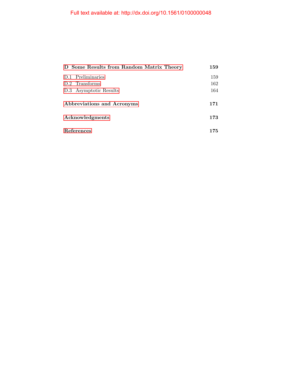| 159 |
|-----|
|     |
| 162 |
| 164 |
| 171 |
| 173 |
|     |
| 175 |
|     |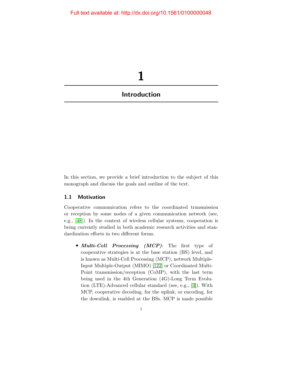<span id="page-10-0"></span>

In this section, we provide a brief introduction to the subject of this monograph and discuss the goals and outline of the text.

#### <span id="page-10-1"></span>1.1 Motivation

Cooperative communication refers to the coordinated transmission or reception by some nodes of a given communication network (see, e.g., [\[48\]](#page-18-0)). In the context of wireless cellular systems, cooperation is being currently studied in both academic research activities and standardization efforts in two different forms.

• Multi-Cell Processing (MCP): The first type of cooperative strategies is at the base station (BS) level, and is known as Multi-Cell Processing (MCP), network Multiple-Input Multiple-Output (MIMO) [\[122\]](#page-23-0) or Coordinated Multi-Point transmission/reception (CoMP), with the last term being used in the 4th Generation (4G)-Long Term Evolution (LTE)-Advanced cellular standard (see, e.g., [\[3\]](#page-15-1)). With MCP, cooperative decoding, for the uplink, or encoding, for the downlink, is enabled at the BSs. MCP is made possible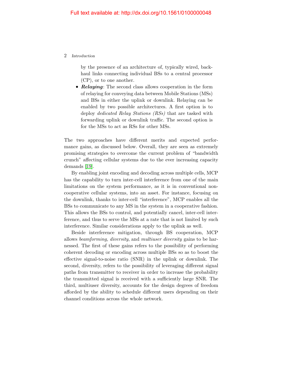#### 2 Introduction

by the presence of an architecture of, typically wired, backhaul links connecting individual BSs to a central processor (CP), or to one another.

• Relaying: The second class allows cooperation in the form of relaying for conveying data between Mobile Stations (MSs) and BSs in either the uplink or downlink. Relaying can be enabled by two possible architectures. A first option is to deploy *dedicated Relay Stations (RSs)* that are tasked with forwarding uplink or downlink traffic. The second option is for the MSs to act as RSs for other MSs.

The two approaches have different merits and expected performance gains, as discussed below. Overall, they are seen as extremely promising strategies to overcome the current problem of "bandwidth crunch" affecting cellular systems due to the ever increasing capacity demands [\[19\]](#page-16-0).

By enabling joint encoding and decoding across multiple cells, MCP has the capability to turn inter-cell interference from one of the main limitations on the system performance, as it is in conventional noncooperative cellular systems, into an asset. For instance, focusing on the downlink, thanks to inter-cell "interference", MCP enables all the BSs to communicate to any MS in the system in a cooperative fashion. This allows the BSs to control, and potentially cancel, inter-cell interference, and thus to serve the MSs at a rate that is not limited by such interference. Similar considerations apply to the uplink as well.

Beside interference mitigation, through BS cooperation, MCP allows beamforming, diversity, and multiuser diversity gains to be harnessed. The first of these gains refers to the possibility of performing coherent decoding or encoding across multiple BSs so as to boost the effective signal-to-noise ratio (SNR) in the uplink or downlink. The second, diversity, refers to the possibility of leveraging different signal paths from transmitter to receiver in order to increase the probability the transmitted signal is received with a sufficiently large SNR. The third, multiuser diversity, accounts for the design degrees of freedom afforded by the ability to schedule different users depending on their channel conditions across the whole network.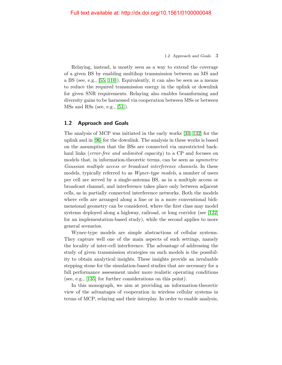1.2 Approach and Goals 3

Relaying, instead, is mostly seen as a way to extend the coverage of a given BS by enabling multihop transmission between an MS and a BS (see, e.g., [\[55,](#page-18-1) [110\]](#page-22-0)). Equivalently, it can also be seen as a means to reduce the required transmission energy in the uplink or downlink for given SNR requirements. Relaying also enables beamforming and diversity gains to be harnessed via cooperation between MSs or between MSs and RSs (see, e.g., [\[51\]](#page-18-2)).

#### <span id="page-12-0"></span>1.2 Approach and Goals

The analysis of MCP was initiated in the early works [\[33,](#page-17-0) [132\]](#page-24-0) for the uplink and in [\[96\]](#page-21-0) for the downlink. The analysis in these works is based on the assumption that the BSs are connected via unrestricted backhaul links (*error-free and unlimited capacity*) to a CP and focuses on models that, in information-theoretic terms, can be seen as *symmetric* Gaussian multiple access or broadcast interference channels. In these models, typically referred to as Wyner-type models, a number of users per cell are served by a single-antenna BS, as in a multiple access or broadcast channel, and interference takes place only between adjacent cells, as in partially connected interference networks. Both the models where cells are arranged along a line or in a more conventional bidimensional geometry can be considered, where the first class may model systems deployed along a highway, railroad, or long corridor (see [\[122\]](#page-23-0) for an implementation-based study), while the second applies to more general scenarios.

Wyner-type models are simple abstractions of cellular systems. They capture well one of the main aspects of such settings, namely the locality of inter-cell interference. The advantage of addressing the study of given transmission strategies on such models is the possibility to obtain analytical insights. These insights provide an invaluable stepping stone for the simulation-based studies that are necessary for a full performance assessment under more realistic operating conditions (see, e.g., [\[135\]](#page-24-1) for further considerations on this point).

In this monograph, we aim at providing an information-theoretic view of the advantages of cooperation in wireless cellular systems in terms of MCP, relaying and their interplay. In order to enable analysis,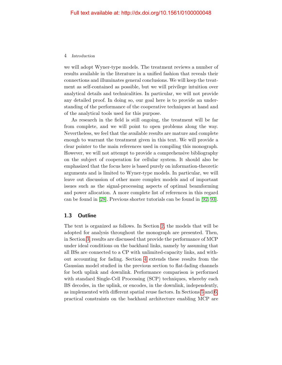#### 4 Introduction

we will adopt Wyner-type models. The treatment reviews a number of results available in the literature in a unified fashion that reveals their connections and illuminates general conclusions. We will keep the treatment as self-contained as possible, but we will privilege intuition over analytical details and technicalities. In particular, we will not provide any detailed proof. In doing so, our goal here is to provide an understanding of the performance of the cooperative techniques at hand and of the analytical tools used for this purpose.

As research in the field is still ongoing, the treatment will be far from complete, and we will point to open problems along the way. Nevertheless, we feel that the available results are mature and complete enough to warrant the treatment given in this text. We will provide a clear pointer to the main references used in compiling this monograph. However, we will not attempt to provide a comprehensive bibliography on the subject of cooperation for cellular system. It should also be emphasized that the focus here is based purely on information-theoretic arguments and is limited to Wyner-type models. In particular, we will leave out discussion of other more complex models and of important issues such as the signal-processing aspects of optimal beamforming and power allocation. A more complete list of references in this regard can be found in [\[28\]](#page-17-1). Previous shorter tutorials can be found in [\[92,](#page-21-1) [93\]](#page-21-2).

#### <span id="page-13-0"></span>1.3 Outline

The text is organized as follows. In Section [2,](#page--1-0) the models that will be adopted for analysis throughout the monograph are presented. Then, in Section [3,](#page--1-0) results are discussed that provide the performance of MCP under ideal conditions on the backhaul links, namely by assuming that all BSs are connected to a CP with unlimited-capacity links, and without accounting for fading. Section [4](#page--1-0) extends these results from the Gaussian model studied in the previous section to flat-fading channels for both uplink and downlink. Performance comparison is performed with standard Single-Cell Processing (SCP) techniques, whereby each BS decodes, in the uplink, or encodes, in the downlink, independently, as implemented with different spatial reuse factors. In Sections [5](#page--1-0) and [6,](#page--1-0) practical constraints on the backhaul architecture enabling MCP are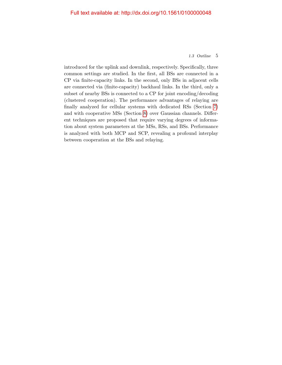#### 1.3 Outline 5

introduced for the uplink and downlink, respectively. Specifically, three common settings are studied. In the first, all BSs are connected in a CP via finite-capacity links. In the second, only BSs in adjacent cells are connected via (finite-capacity) backhaul links. In the third, only a subset of nearby BSs is connected to a CP for joint encoding/decoding (clustered cooperation). The performance advantages of relaying are finally analyzed for cellular systems with dedicated RSs (Section [7\)](#page--1-0) and with cooperative MSs (Section [8\)](#page--1-0) over Gaussian channels. Different techniques are proposed that require varying degrees of information about system parameters at the MSs, RSs, and BSs. Performance is analyzed with both MCP and SCP, revealing a profound interplay between cooperation at the BSs and relaying.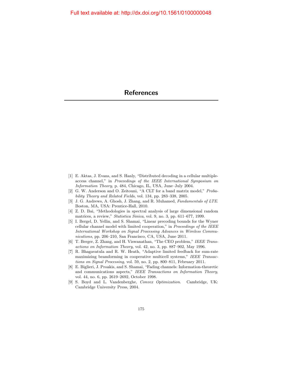- <span id="page-15-0"></span>[1] E. Aktas, J. Evans, and S. Hanly, "Distributed decoding in a cellular multipleaccess channel," in Proceedings of the IEEE International Symposium on Information Theory, p. 484, Chicago, IL, USA, June–July 2004.
- [2] G. W. Anderson and O. Zeitouni, "A CLT for a band matrix model," Probability Theory and Related Fields, vol. 134, pp. 283–338, 2005.
- <span id="page-15-1"></span>[3] J. G. Andrews, A. Ghosh, J. Zhang, and R. Muhamed, Fundamentals of LTE. Boston, MA, USA: Prentice-Hall, 2010.
- [4] Z. D. Bai, "Methodologies in spectral analysis of large dimensional random matrices, a review," Statistica Sinica, vol. 9, no. 3, pp. 611–677, 1999.
- [5] I. Bergel, D. Yellin, and S. Shamai, "Linear precoding bounds for the Wyner cellular channel model with limited cooperation," in Proceedings of the IEEE International Workshop on Signal Processing Advances in Wireless Communications, pp. 206–210, San Francisco, CA, USA, June 2011.
- [6] T. Berger, Z. Zhang, and H. Viswanathan, "The CEO problem," IEEE Transactions on Information Theory, vol. 42, no. 3, pp. 887–902, May 1996.
- [7] R. Bhagavatula and R. W. Heath, "Adaptive limited feedback for sum-rate maximizing beamforming in cooperative multicell systems," IEEE Transactions on Signal Processing, vol. 59, no. 2, pp. 800–811, February 2011.
- [8] E. Biglieri, J. Proakis, and S. Shamai, "Fading channels: Information-theoretic and communications aspects," IEEE Transactions on Information Theory, vol. 44, no. 6, pp. 2619–2692, October 1998.
- [9] S. Boyd and L. Vandenberghe, Convex Optimization. Cambridge, UK: Cambridge University Press, 2004.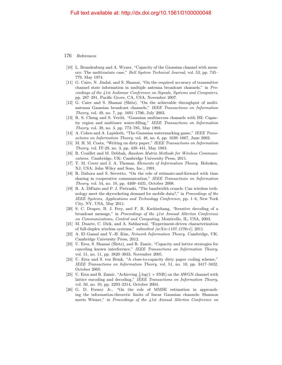- [10] L. Brandenburg and A. Wyner, "Capacity of the Gaussian channel with memory: The multivariate case," Bell System Technical Journal, vol. 53, pp. 745– 779, May 1974.
- [11] G. Caire, N. Jindal, and S. Shamai, "On the required accuracy of transmitter channel state information in multiple antenna broadcast channels," in Proceedings of the 41st Asilomar Conference on Signals, Systems and Computers, pp. 287–291, Pacific Grove, CA, USA, November 2007.
- [12] G. Caire and S. Shamai (Shitz), "On the achievable throughput of multiantenna Gaussian broadcast channels," IEEE Transactions on Information Theory, vol. 49, no. 7, pp. 1691–1706, July 2003.
- [13] R. S. Cheng and S. Verdú, "Gaussian multiaccess channels with ISI: Capacity region and multiuser water-filling," IEEE Transactions on Information Theory, vol. 39, no. 3, pp. 773–785, May 1993.
- [14] A. Cohen and A. Lapidoth, "The Gaussian watermarking game," IEEE Transactions on Information Theory, vol. 48, no. 6, pp. 1639–1667, June 2002.
- [15] M. H. M. Costa, "Writing on dirty paper," IEEE Transactions on Information Theory, vol. IT-29, no. 3, pp. 439–441, May 1983.
- [16] R. Couillet and M. Debbah, Random Matrix Methods for Wireless Communications. Cambridge, UK: Cambridge University Press, 2011.
- [17] T. M. Cover and J. A. Thomas, Elements of Information Theory. Hoboken, NJ, USA: John Wiley and Sons, Inc., 1991.
- [18] R. Dabora and S. Servetto, "On the role of estimate-and-forward with time sharing in cooperative communication," IEEE Transactions on Information Theory, vol. 54, no. 10, pp. 4409–4431, October 2008.
- <span id="page-16-0"></span>[19] R. A. DiFazio and P. J. Pietraski, "The bandwidth crunch: Can wireless technology meet the skyrocketing demand for mobile data?," in Proceedings of the IEEE Systems, Applications and Technology Conference, pp. 1–6, New York City, NY, USA, May 2011.
- [20] S. C. Draper, B. J. Frey, and F. R. Kschischang, "Iterative decoding of a broadcast message," in Proceedings of the 41st Annual Allerton Conference on Communications, Control and Computing, Monticello, IL, USA, 2003.
- [21] M. Duarte, C. Dick, and A. Sabharwal, "Experiment-driven characterization of full-duplex wireless systems," submitted [arXiv:1107.1276v1], 2011.
- [22] A. El Gamal and Y.-H. Kim, Network Information Theory. Cambridge, UK: Cambridge University Press, 2012.
- [23] U. Erez, S. Shamai (Shitz), and R. Zamir, "Capacity and lattice strategies for canceling known interference," IEEE Transactions on Information Theory, vol. 51, no. 11, pp. 3820–3833, November 2005.
- [24] U. Erez and S. ten Brink, "A close-to-capacity dirty paper coding scheme," IEEE Transactions on Information Theory, vol. 51, no. 10, pp. 3417–3432, October 2005.
- [25] U. Erez and R. Zamir, "Achieving  $\frac{1}{2} \log(1 + \text{SNR})$  on the AWGN channel with lattice encoding and decoding," IEEE Transactions on Information Theory, vol. 50, no. 10, pp. 2293–2314, October 2004.
- [26] G. D. Forney Jr., "On the role of MMSE estimation in approaching the information-theoretic limits of linear Gaussian channels: Shannon meets Wiener," in Proceedings of the 41st Annual Allerton Conference on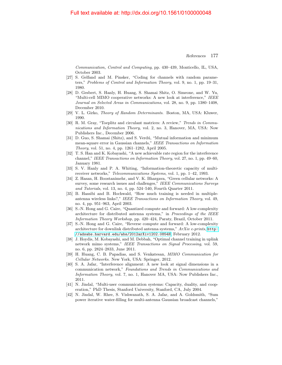Communication, Control and Computing, pp. 430–439, Monticello, IL, USA, October 2003.

- [27] S. Gelfand and M. Pinsker, "Coding for channels with random parameters," Problems of Control and Information Theory, vol. 9, no. 1, pp. 19–31, 1980.
- <span id="page-17-1"></span>[28] D. Gesbert, S. Hanly, H. Huang, S. Shamai Shitz, O. Simeone, and W. Yu, "Multi-cell MIMO cooperative networks: A new look at interference," IEEE Journal on Selected Areas in Communications, vol. 28, no. 9, pp. 1380–1408, December 2010.
- [29] V. L. Girko, Theory of Random Determinants. Boston, MA, USA: Kluwer, 1990.
- [30] R. M. Gray, "Toeplitz and circulant matrices: A review," Trends in Communications and Information Theory, vol. 2, no. 3, Hanover, MA, USA: Now Publishers Inc., December 2006.
- [31] D. Guo, S. Shamai (Shitz), and S. Verdú, "Mutual information and minimum mean-square error in Gaussian channels," IEEE Transactions on Information Theory, vol. 51, no. 4, pp. 1261–1282, April 2005.
- [32] T. S. Han and K. Kobayashi, "A new achievable rate region for the interference channel," IEEE Transactions on Information Theory, vol. 27, no. 1, pp. 49–60, January 1981.
- <span id="page-17-0"></span>[33] S. V. Hanly and P. A. Whiting, "Information-theoretic capacity of multireceiver networks," Telecommunications Systems, vol. 1, pp. 1–42, 1993.
- [34] Z. Hasan, H. Boostanimehr, and V. K. Bhargava, "Green cellular networks: A survey, some research issues and challenges," IEEE Communications Surveys and Tutorials, vol. 13, no. 4, pp. 524–540, Fourth Quarter 2011.
- [35] B. Hassibi and B. Hochwald, "How much training is needed in multipleantenna wireless links?," IEEE Transactions on Information Theory, vol. 49, no. 4, pp. 951–963, April 2003.
- [36] S.-N. Hong and G. Caire, "Quantized compute and forward: A low-complexity architecture for distributed antenna systems," in Proceedings of the IEEE Information Theory Workshop, pp. 420–424, Paraty, Brazil, October 2011.
- [37] S.-N. Hong and G. Caire, "Reverse compute and forward: A low-complexity architecture for downlink distributed antenna systems," ArXiv e-prints, [http:](http://adsabs.harvard.edu/abs/2012arXiv1202.0854H) [//adsabs.harvard.edu/abs/2012arXiv1202.0854H](http://adsabs.harvard.edu/abs/2012arXiv1202.0854H), February 2012.
- [38] J. Hoydis, M. Kobayashi, and M. Debbah, "Optimal channel training in uplink network mimo systems," IEEE Transactions on Signal Processing, vol. 59, no. 6, pp. 2824–2833, June 2011.
- [39] H. Huang, C. B. Papadias, and S. Venkatesan, MIMO Communication for Cellular Networks. New York, USA: Springer, 2012.
- [40] S. A. Jafar, "Interference alignment: A new look at signal dimensions in a communication network," Foundations and Trends in Communications and Information Theory, vol. 7, no. 1, Hanover MA, USA: Now Publishers Inc., 2011.
- [41] N. Jindal, "Multi-user communication systems: Capacity, duality, and cooperation," PhD Thesis, Stanford University, Stanford, CA, July 2004.
- [42] N. Jindal, W. Rhee, S. Vishwanath, S. A. Jafar, and A. Goldsmith, "Sum power iterative water-filling for multi-antenna Gaussian broadcast channels,"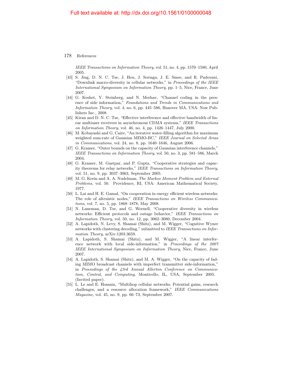IEEE Transactions on Information Theory, vol. 51, no. 4, pp. 1570–1580, April 2005.

- [43] S. Jing, D. N. C. Tse, J. Hou, J. Soriaga, J. E. Smee, and R. Padovani, "Downlink macro-diversity in cellular networks," in Proceedings of the IEEE International Symposium on Information Theory, pp. 1–5, Nice, France, June 2007.
- [44] G. Keshet, Y. Steinberg, and N. Merhav, "Channel coding in the presence of side information," Foundations and Trends in Communications and Information Theory, vol. 4, no. 6, pp. 445–586, Hanover MA, USA: Now Publishers Inc., 2008.
- [45] Kiran and D. N. C. Tse, "Effective interference and effective bandwidth of linear multiuser receivers in asynchronous CDMA systems," IEEE Transactions on Information Theory, vol. 46, no. 4, pp. 1426–1447, July 2000.
- [46] M. Kobayashi and G. Caire, "An iterative water-filling algorithm for maximum weighted sum-rate of Gaussian MIMO-BC," IEEE Journal on Selected Areas in Communications, vol. 24, no. 8, pp. 1640–1646, August 2006.
- [47] G. Kramer, "Outer bounds on the capacity of Gaussian interference channels," IEEE Transactions on Information Theory, vol. 50, no. 3, pp. 581–586, March 2004.
- <span id="page-18-0"></span>[48] G. Kramer, M. Gastpar, and P. Gupta, "Cooperative strategies and capacity theorems for relay networks," IEEE Transactions on Information Theory, vol. 51, no. 9, pp. 3037–3063, September 2005.
- [49] M. G. Krein and A. A. Nudelman, The Markov Moment Problem and External Problems, vol. 50. Providence, RI, USA: American Mathematical Society, 1977.
- [50] L. Lai and H. E. Gamal, "On cooperation in energy efficient wireless networks: The role of altruistic nodes," IEEE Transactions on Wireless Communications, vol. 7, no. 5, pp. 1868–1878, May 2008.
- <span id="page-18-2"></span>[51] N. Laneman, D. Tse, and G. Wornell, "Cooperative diversity in wireless networks: Efficient protocols and outage behavior," IEEE Transactions on Information Theory, vol. 50, no. 12, pp. 3062–3080, December 2004.
- [52] A. Lapidoth, N. Levy, S. Shamai (Shitz), and M. Wigger, "Cognitive Wyner networks with clustering decoding," submitted to IEEE Transactions on Information Theory, arXiv:1203.3659.
- [53] A. Lapidoth, S. Shamai (Shitz), and M. Wigger, "A linear interference network with local side-information," in Proceedings of the 2007 IEEE International Symposium on Information Theory, Nice, France, June 2007.
- [54] A. Lapidoth, S. Shamai (Shitz), and M. A. Wigger, "On the capacity of fading MIMO broadcast channels with imperfect transmitter side-information," in Proceedings of the 43rd Annual Allerton Conference on Communication, Control, and Computing, Monticello, IL, USA, September 2005. (Invited paper).
- <span id="page-18-1"></span>[55] L. Le and E. Hossain, "Multihop cellular networks: Potential gains, research challenges, and a resource allocation framework," IEEE Communications Magazine, vol. 45, no. 9, pp. 66–73, September 2007.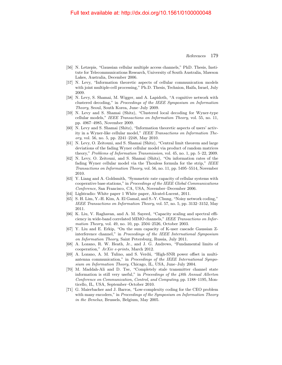- [56] N. Letzepis, "Gaussian cellular multiple access channels," PhD. Thesis, Institute for Telecommunications Research, University of South Australia, Mawson Lakes, Australia, December 2006.
- [57] N. Levy, "Information theoretic aspects of cellular communication models with joint multiple-cell processing," Ph.D. Thesis, Technion, Haifa, Israel, July 2009.
- [58] N. Levy, S. Shamai, M. Wigger, and A. Lapidoth, "A cognitive network with clustered decoding," in Proceedings of the IEEE Symposium on Information Theory, Seoul, South Korea, June–July 2009.
- [59] N. Levy and S. Shamai (Shitz), "Clustered local decoding for Wyner-type cellular models," IEEE Transactions on Information Theory, vol. 55, no. 11, pp. 4967–4985, November 2009.
- [60] N. Levy and S. Shamai (Shitz), "Information theoretic aspects of users' activity in a Wyner-like cellular model," IEEE Transactions on Information Theory, vol. 56, no. 5, pp. 2241–2248, May 2010.
- [61] N. Levy, O. Zeitouni, and S. Shamai (Shitz), "Central limit theorem and large deviations of the fading Wyner cellular model via product of random matrices theory," Problems of Information Transmission, vol. 45, no. 1, pp. 5–22, 2009.
- [62] N. Levy, O. Zeitouni, and S. Shamai (Shitz), "On information rates of the fading Wyner cellular model via the Thouless formula for the strip," IEEE Transactions on Information Theory, vol. 56, no. 11, pp. 5495–5514, November 2010.
- [63] Y. Liang and A. Goldsmith, "Symmetric rate capacity of cellular systems with cooperative base stations," in Proceedings of the IEEE Global Communications Conference, San Francisco, CA, USA, November–December 2006.
- [64] Lightradio: White paper 1 White paper, Alcatel-Lucent, 2011.
- [65] S. H. Lim, Y.-H. Kim, A. El Gamal, and S.-Y. Chung, "Noisy network coding," IEEE Transactions on Information Theory, vol. 57, no. 5, pp. 3132–3152, May 2011.
- [66] K. Liu, V. Raghavan, and A. M. Sayeed, "Capacity scaling and spectral efficiency in wide-band correlated MIMO channels," IEEE Transactions on Information Theory, vol. 49, no. 10, pp. 2504–2526, October 2003.
- [67] Y. Liu and E. Erkip, "On the sum capacity of K-user cascade Gaussian Zinterference channel," in Proceedings of the IEEE International Symposium on Information Theory, Saint Petersburg, Russia, July 2011.
- [68] A. Lozano, R. W. Heath, Jr., and J. G. Andrews, "Fundamental limits of cooperation," ArXiv e-prints, March 2012.
- [69] A. Lozano, A. M. Tulino, and S. Verdú, "High-SNR power offset in multiantenna communication," in Proceedings of the IEEE International Symposium on Information Theory, Chicago, IL, USA, June–July 2004.
- [70] M. Maddah-Ali and D. Tse, "Completely stale transmitter channel state information is still very useful," in Proceedings of the 48th Annual Allerton Conference on Communication, Control, and Computing, pp. 1188–1195, Monticello, IL, USA, September–October 2010.
- [71] G. Maierbacher and J. Barros, "Low-complexity coding for the CEO problem with many encoders," in Proceedings of the Symposium on Information Theory in the Benelux, Brussels, Belgium, May 2005.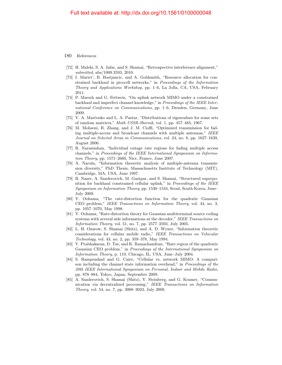- [72] H. Maleki, S. A. Jafar, and S. Shamai, "Retrospective interference alignment," submitted, abs/1009.3593, 2010.
- [73] I. Marict', B. Bostjancic, and A. Goldsmith, "Resource allocation for constrained backhaul in picocell networks," in Proceedings of the Information Theory and Applications Workshop, pp. 1–6, La Jolla, CA, USA, February 2011.
- [74] P. Marsch and G. Fettweis, "On uplink network MIMO under a constrained backhaul and imperfect channel knowledge," in Proceedings of the IEEE International Conference on Communications, pp. 1–6, Dresden, Germany, June 2009.
- [75] V. A. Mar˘cenko and L. A. Pastur, "Distributions of eigenvalues for some sets of random matrices," Math USSR-Sbornik, vol. 1, pp. 457–483, 1967.
- [76] M. Mohseni, R. Zhang, and J. M. Cioffi, "Optimized transmission for fading multiple-access and broadcast channels with multiple antennas," IEEE Journal on Selected Areas in Communications, vol. 24, no. 8, pp. 1627–1639, August 2006.
- [77] R. Narasimhan, "Individual outage rate regions for fading multiple access channels," in Proceedings of the IEEE International Symposium on Information Theory, pp. 1571–2660, Nice, France, June 2007.
- [78] A. Narula, "Information theoretic analysis of multiple-antenna transmission diversity," PhD Thesis, Massachusetts Institute of Technology (MIT), Cambridge, MA, USA, June 1997.
- [79] B. Nazer, A. Sanderovich, M. Gastpar, and S. Shamai, "Structured superposition for backhaul constrained cellular uplink," in Proceedings of the IEEE Symposium on Information Theory, pp. 1530–1534, Seoul, South Korea, June– July 2009.
- [80] Y. Oohama, "The rate-distortion function for the quadratic Gaussian CEO problem," IEEE Transactions on Information Theory, vol. 44, no. 3, pp. 1057–1070, May 1998.
- [81] Y. Oohama, "Rate-distortion theory for Gaussian multiterminal source coding systems with several side informations at the decoder," IEEE Transactions on Information Theory, vol. 51, no. 7, pp. 2577–2593, July 2005.
- [82] L. H. Ozarow, S. Shamai (Shitz), and A. D. Wyner, "Information theoretic considerations for cellular mobile radio," IEEE Transactions on Vehicular Technology, vol. 43, no. 2, pp. 359–378, May 1994.
- [83] V. Prabhakaran, D. Tse, and K. Ramachandran, "Rate region of the quadratic Gaussian CEO problem," in Proceedings of the International Symposium on Information Theory, p. 119, Chicago, IL, USA, June–July 2004.
- [84] S. Ramprashad and G. Caire, "Cellular vs. network MIMO: A comparison including the channel state information overhead," in Proceedings of the 20th IEEE International Symposium on Personal, Indoor and Mobile Radio, pp. 878–884, Tokyo, Japan, September 2009.
- [85] A. Sanderovich, S. Shamai (Shitz), Y. Steinberg, and G. Kramer, "Communication via decentralized processing," IEEE Transactions on Information Theory, vol. 54, no. 7, pp. 3008–3023, July 2008.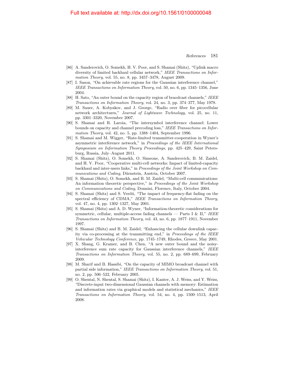- [86] A. Sanderovich, O. Somekh, H. V. Poor, and S. Shamai (Shitz), "Uplink macro diversity of limited backhaul cellular network," IEEE Transactions on Information Theory, vol. 55, no. 8, pp. 3457–3478, August 2009.
- [87] I. Sason, "On achievable rate regions for the Gaussian interference channel," IEEE Transactions on Information Theory, vol. 50, no. 6, pp. 1345–1356, June 2004.
- [88] H. Sato, "An outer bound on the capacity region of braodcast channels," IEEE Transactions on Information Theory, vol. 24, no. 3, pp. 374–377, May 1978.
- [89] M. Sauer, A. Kobyakov, and J. George, "Radio over fiber for picocellular network architectures," Journal of Lightwave Technology, vol. 25, no. 11, pp. 3301–3320, November 2007.
- [90] S. Shamai and R. Laroia, "The intersymbol interference channel: Lower bounds on capacity and channel precoding loss," IEEE Transactions on Information Theory, vol. 42, no. 5, pp. 1388–1404, September 1996.
- [91] S. Shamai and M. Wigger, "Rate-limited transmitter-cooperation in Wyner's asymmetric interference network," in Proceedings of the IEEE International Symposium on Information Theory Proceedings, pp. 425–429, Saint Petersburg, Russia, July–August 2011.
- <span id="page-21-1"></span>[92] S. Shamai (Shitz), O. Somekh, O. Simeone, A. Sanderovich, B. M. Zaidel, and H. V. Poor, "Cooperative multi-cell networks: Impact of limited-capacity backhaul and inter-users links," in Proceedings of the Joint Workshop on Communications and Coding, Dürnstein, Austria, October 2007.
- <span id="page-21-2"></span>[93] S. Shamai (Shitz), O. Somekh, and B. M. Zaidel, "Multi-cell communications: An information theoretic perspective," in *Proceedings of the Joint Workshop* on Communications and Coding, Donnini, Florence, Italy, October 2004.
- [94] S. Shamai (Shitz) and S. Verdú, "The impact of frequency-flat fading on the spectral efficiency of CDMA," IEEE Transactions on Information Theory, vol. 47, no. 4, pp. 1302–1327, May 2001.
- [95] S. Shamai (Shitz) and A. D. Wyner, "Information-theoretic considerations for symmetric, cellular, multiple-access fading channels — Parts I & II," IEEE Transactions on Information Theory, vol. 43, no. 6, pp. 1877–1911, November 1997.
- <span id="page-21-0"></span>[96] S. Shamai (Shitz) and B. M. Zaidel, "Enhancing the cellular downlink capacity via co-processing at the transmitting end," in Proceedings of the IEEE Vehicular Technology Conference, pp. 1745–1749, Rhodes, Greece, May 2001.
- [97] X. Shang, G. Kramer, and B. Chen, "A new outer bound and the noisyinterference sum rate capacity for Gaussian interference channels," IEEE Transactions on Information Theory, vol. 55, no. 2, pp. 689–699, February 2009.
- [98] M. Sharif and B. Hassibi, "On the capacity of MIMO broadcast channel with partial side information," IEEE Transactions on Information Theory, vol. 51, no. 2, pp. 506–522, February 2005.
- [99] O. Shental, N. Shental, S. Shamai (Shitz), I. Kanter, A. J. Weiss, and Y. Weiss, "Discrete-input two-dimensional Gaussian channels with memory: Estimation and information rates via graphical models and statistical mechanics," IEEE Transactions on Information Theory, vol. 54, no. 4, pp. 1500–1513, April 2008.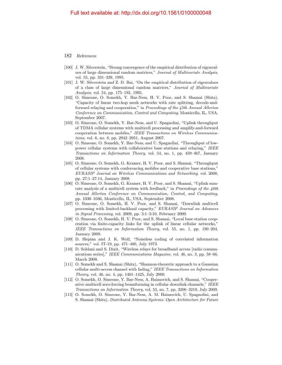- [100] J. W. Silverstein, "Strong convergence of the empirical distribution of eigenvalues of large dimensional random matrices," Journal of Multivariate Analysis, vol. 55, pp. 331–339, 1995.
- [101] J. W. Silverstein and Z. D. Bai, "On the empirical distribution of eigenvalues of a class of large dimensional random matrices," Journal of Multivariate Analysis, vol. 54, pp. 175–192, 1995.
- [102] O. Simeone, O. Somekh, Y. Bar-Ness, H. V. Poor, and S. Shamai (Shitz), "Capacity of linear two-hop mesh networks with rate splitting, decode-andforward relaying and cooperation," in Proceedings of the 45th Annual Allerton Conference on Communication, Control and Computing, Monticello, IL, USA, September 2007.
- [103] O. Simeone, O. Somekh, Y. Bar-Ness, and U. Spagnolini, "Uplink throughput of TDMA cellular systems with multicell processing and amplify-and-forward cooperation between mobiles," IEEE Transactions on Wireless Communications, vol. 6, no. 8, pp. 2942–2951, August 2007.
- [104] O. Simeone, O. Somekh, Y. Bar-Ness, and U. Spagnolini, "Throughput of lowpower cellular systems with collaborative base stations and relaying," IEEE Transactions on Information Theory, vol. 54, no. 1, pp. 459–467, January 2008.
- [105] O. Simeone, O. Somekh, G. Kramer, H. V. Poor, and S. Shamai, "Throughput of cellular systems with conferencing mobiles and cooperative base stations," EURASIP Journal on Wireless Communications and Networking, vol. 2008, pp. 27:1–27:14, January 2008.
- [106] O. Simeone, O. Somekh, G. Kramer, H. V. Poor, and S. Shamai, "Uplink sumrate analysis of a multicell system with feedback," in *Proceedings of the 46th* Annual Allerton Conference on Communication, Control, and Computing, pp. 1030–1036, Monticello, IL, USA, September 2008.
- [107] O. Simeone, O. Somekh, H. V. Poor, and S. Shamai, "Downlink multicell processing with limited-backhaul capacity," EURASIP Journal on Advances in Signal Processing, vol. 2009, pp. 3:1–3:10, February 2009.
- [108] O. Simeone, O. Somekh, H. V. Poor, and S. Shamai, "Local base station cooperation via finite-capacity links for the uplink of linear cellular networks, IEEE Transactions on Information Theory, vol. 55, no. 1, pp. 190–204, January 2009.
- [109] D. Slepian and J. K. Wolf, "Noiseless coding of correlated information sources," vol. IT-19, pp. 471–480, July 1973.
- <span id="page-22-0"></span>[110] D. Soldani and S. Dixit, "Wireless relays for broadband access [radio communications series]," IEEE Communications Magazine, vol. 46, no. 3, pp. 58–66, March 2008.
- [111] O. Somekh and S. Shamai (Shitz), "Shannon-theoretic approach to a Gaussian cellular multi-access channel with fading," IEEE Transactions on Information Theory, vol. 46, no. 4, pp. 1401–1425, July 2000.
- [112] O. Somekh, O. Simeone, Y. Bar-Ness, A. Haimovich, and S. Shamai, "Cooperative multicell zero-forcing beamforming in cellular downlink channels," IEEE Transactions on Information Theory, vol. 55, no. 7, pp. 3206–3219, July 2009.
- [113] O. Somekh, O. Simeone, Y. Bar-Ness, A. M. Haimovich, U. Spagnolini, and S. Shamai (Shitz), Distributed Antenna Systems: Open Architecture for Future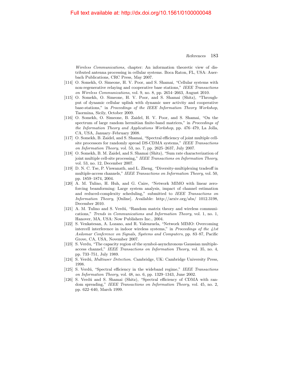Wireless Communications, chapter: An information theoretic view of distributed antenna processing in cellular systems. Boca Raton, FL, USA: Auerbach Publications, CRC Press, May 2007.

- [114] O. Somekh, O. Simeone, H. V. Poor, and S. Shamai, "Cellular systems with non-regenerative relaying and cooperative base stations," IEEE Transactions on Wireless Communications, vol. 9, no. 8, pp. 2654–2663, August 2010.
- [115] O. Somekh, O. Simeone, H. V. Poor, and S. Shamai (Shitz), "Throughput of dynamic cellular uplink with dynamic user activity and cooperative base-stations," in Proceedings of the IEEE Information Theory Workshop, Taormina, Sicily, October 2009.
- [116] O. Somekh, O. Simeone, B. Zaidel, H. V. Poor, and S. Shamai, "On the spectrum of large random hermitian finite-band matrices," in *Proceedings of* the Information Theory and Applications Workshop, pp. 476–479, La Jolla, CA, USA, January–February 2008.
- [117] O. Somekh, B. Zaidel, and S. Shamai, "Spectral efficiency of joint multiple cellsite processors for randomly spread DS-CDMA systems," IEEE Transactions on Information Theory, vol. 53, no. 7, pp. 2625–2637, July 2007.
- [118] O. Somekh, B. M. Zaidel, and S. Shamai (Shitz), "Sum rate characterization of joint multiple cell-site processing," IEEE Transactions on Information Theory, vol. 53, no. 12, December 2007.
- [119] D. N. C. Tse, P. Viswanath, and L. Zheng, "Diversity-multiplexing tradeoff in multiple-access channels," IEEE Transactions on Information Theory, vol. 50, pp. 1859–1874, 2004.
- [120] A. M. Tulino, H. Huh, and G. Caire, "Network MIMO with linear zeroforcing beamforming: Large system analysis, impact of channel estimation and reduced-complexity scheduling," submitted to IEEE Transactions on Information Theory, [Online]. Available: http://arxiv.org/abs/ 1012.3198, December 2010.
- [121] A. M. Tulino and S. Verdú, "Random matrix theory and wireless communications," Trends in Communications and Information Theory, vol. 1, no. 1, Hanover, MA, USA: Now Publishers Inc., 2004.
- <span id="page-23-0"></span>[122] S. Venkatesan, A. Lozano, and R. Valenzuela, "Network MIMO: Overcoming intercell interference in indoor wireless systems," in Proceedings of the 41st Asilomar Conference on Signals, Systems and Computers, pp. 83–87, Pacific Grove, CA, USA, November 2007.
- [123] S. Verdu, "The capacity region of the symbol-asynchronous Gaussian multipleaccess channel," IEEE Transactions on Information Theory, vol. 35, no. 4, pp. 733–751, July 1989.
- [124] S. Verdú, *Multiuser Detection*. Cambridge, UK: Cambridge University Press, 1998.
- [125] S. Verdú, "Spectral efficiency in the wideband regime," IEEE Transactions on Information Theory, vol. 48, no. 6, pp. 1329–1343, June 2002.
- [126] S. Verdú and S. Shamai (Shitz), "Spectral efficiency of CDMA with random spreading," IEEE Transactions on Information Theory, vol. 45, no. 2, pp. 622–640, March 1999.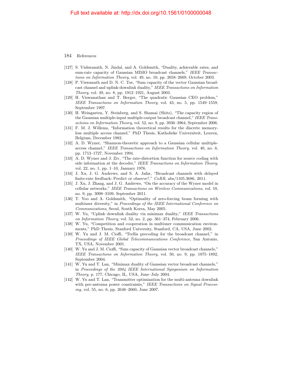- [127] S. Vishwanath, N. Jindal, and A. Goldsmith, "Duality, achievable rates, and sum-rate capacity of Gaussian MIMO broadcast channels," IEEE Transactions on Information Theory, vol. 49, no. 10, pp. 2658–2669, October 2003.
- [128] P. Viswanath and D. N. C. Tse, "Sum capacity of the vector Gaussian broadcast channel and uplink-downlink duality," IEEE Transactions on Information Theory, vol. 49, no. 8, pp. 1912–1921, August 2003.
- [129] H. Viswanathan and T. Berger, "The quadratic Gaussian CEO problem," IEEE Transactions on Information Theory, vol. 43, no. 5, pp. 1549–1559, September 1997.
- [130] H. Weingarten, Y. Steinberg, and S. Shamai (Shitz), "The capacity region of the Gaussian multiple-input multiple-output broadcast channel," IEEE Transactions on Information Theory, vol. 52, no. 9, pp. 3936–3964, September 2006.
- [131] F. M. J. Willems, "Information theoretical results for the discrete memoryless multiple access channel," PhD Thesis, Katholieke Universiteit, Leuven, Belgium, December 1982.
- <span id="page-24-0"></span>[132] A. D. Wyner, "Shannon-theoretic approach to a Gaussian cellular multipleaccess channel," IEEE Transactions on Information Theory, vol. 40, no. 6, pp. 1713–1727, November 1994.
- [133] A. D. Wyner and J. Ziv, "The rate-distortion function for source coding with side information at the decoder," IEEE Transactions on Information Theory, vol. 22, no. 1, pp. 1–10, January 1976.
- [134] J. Xu, J. G. Andrews, and S. A. Jafar, "Broadcast channels with delayed finite-rate feedback: Predict or observe?," CoRR, abs/1105.3686, 2011.
- <span id="page-24-1"></span>[135] J. Xu, J. Zhang, and J. G. Andrews, "On the accuracy of the Wyner model in cellular networks," IEEE Transactions on Wireless Communications, vol. 10, no. 9, pp. 3098–3109, September 2011.
- [136] T. Yoo and A. Goldsmith, "Optimality of zero-forcing beam forming with multiuser diversity," in Proceedings of the IEEE International Conference on Communications, Seoul, South Korea, May 2005.
- [137] W. Yu, "Uplink–downlink duality via minimax duality," IEEE Transactions on Information Theory, vol. 52, no. 2, pp. 361–374, February 2006.
- [138] W. Yu, "Competition and cooperation in multiuser communication environments," PhD Thesis, Stanford University, Stanford, CA, USA, June 2002.
- [139] W. Yu and J. M. Cioffi, "Trellis precoding for the broadcast channel," in Proceedings of IEEE Global Telecommunications Conference, San Antonio, TX, USA, November 2001.
- [140] W. Yu and J. M. Cioffi, "Sum capacity of Gaussian vector broadcast channels," IEEE Transactions on Information Theory, vol. 50, no. 9, pp. 1875–1892, September 2004.
- [141] W. Yu and T. Lan, "Minimax duality of Gaussian vector broadcast channels," in Proceedings of the 2004 IEEE International Symposium on Information Theory, p. 177, Chicago, IL, USA, June–July 2004.
- [142] W. Yu and T. Lan, "Transmitter optimization for the multi-antenna downlink with per-antenna power constraints," IEEE Transactions on Signal Processing, vol. 55, no. 6, pp. 2646–2660, June 2007.